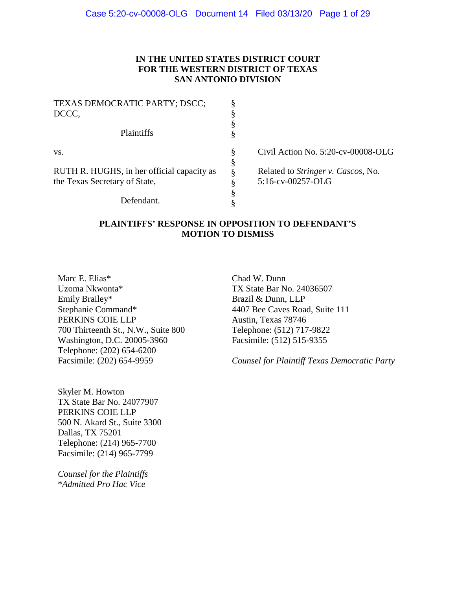# **IN THE UNITED STATES DISTRICT COURT FOR THE WESTERN DISTRICT OF TEXAS SAN ANTONIO DIVISION**

| § | Civil Action No. 5:20-cv-00008-OLG         |
|---|--------------------------------------------|
| ş |                                            |
| 8 | Related to <i>Stringer v. Cascos</i> , No. |
| Λ | 5:16-cv-00257-OLG                          |
|   |                                            |
|   |                                            |
|   |                                            |

# **PLAINTIFFS' RESPONSE IN OPPOSITION TO DEFENDANT'S MOTION TO DISMISS**

Marc E. Elias\* Uzoma Nkwonta\* Emily Brailey\* Stephanie Command\* PERKINS COIE LLP 700 Thirteenth St., N.W., Suite 800 Washington, D.C. 20005-3960 Telephone: (202) 654-6200 Facsimile: (202) 654-9959

Chad W. Dunn TX State Bar No. 24036507 Brazil & Dunn, LLP 4407 Bee Caves Road, Suite 111 Austin, Texas 78746 Telephone: (512) 717-9822 Facsimile: (512) 515-9355

*Counsel for Plaintiff Texas Democratic Party*

Skyler M. Howton TX State Bar No. 24077907 PERKINS COIE LLP 500 N. Akard St., Suite 3300 Dallas, TX 75201 Telephone: (214) 965-7700 Facsimile: (214) 965-7799

*Counsel for the Plaintiffs* \**Admitted Pro Hac Vice*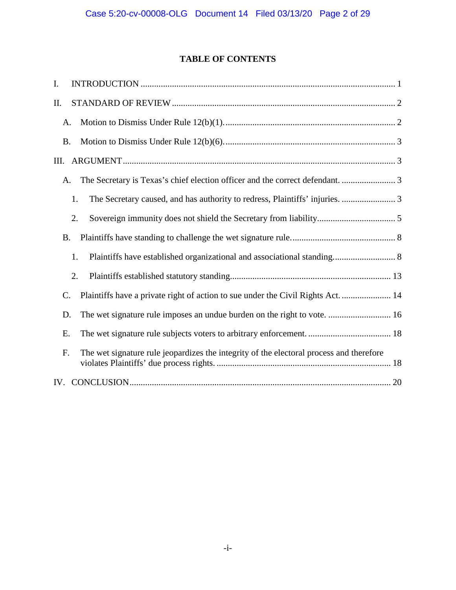# **TABLE OF CONTENTS**

| I.                                                                                                  |  |
|-----------------------------------------------------------------------------------------------------|--|
| Π.                                                                                                  |  |
| A.                                                                                                  |  |
| <b>B.</b>                                                                                           |  |
| Ш.                                                                                                  |  |
| A.                                                                                                  |  |
| 1.                                                                                                  |  |
| 2.                                                                                                  |  |
| <b>B.</b>                                                                                           |  |
| Plaintiffs have established organizational and associational standing 8<br>1.                       |  |
| 2.                                                                                                  |  |
| Plaintiffs have a private right of action to sue under the Civil Rights Act.  14<br>$\mathcal{C}$ . |  |
| The wet signature rule imposes an undue burden on the right to vote.  16<br>D.                      |  |
| Ε.                                                                                                  |  |
| The wet signature rule jeopardizes the integrity of the electoral process and therefore<br>F.       |  |
|                                                                                                     |  |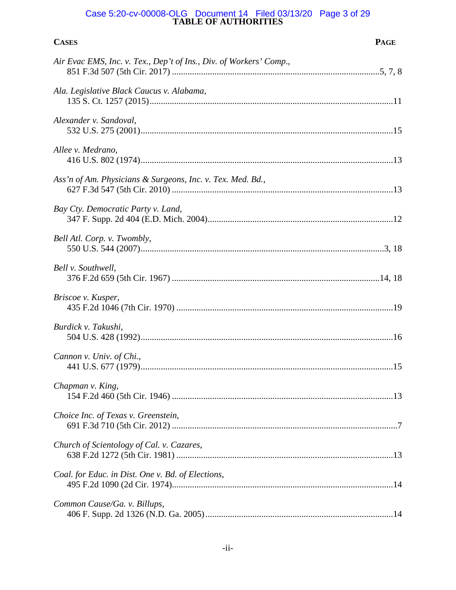#### **TABLE OF AUTHORITIES** Case 5:20-cv-00008-OLG Document 14 Filed 03/13/20 Page 3 of 29

| <b>CASES</b>                                                       | <b>PAGE</b> |
|--------------------------------------------------------------------|-------------|
| Air Evac EMS, Inc. v. Tex., Dep't of Ins., Div. of Workers' Comp., |             |
| Ala. Legislative Black Caucus v. Alabama,                          |             |
| Alexander v. Sandoval,                                             |             |
| Allee v. Medrano,                                                  |             |
| Ass'n of Am. Physicians & Surgeons, Inc. v. Tex. Med. Bd.,         |             |
| Bay Cty. Democratic Party v. Land,                                 |             |
| Bell Atl. Corp. v. Twombly,                                        |             |
| Bell v. Southwell,                                                 |             |
| Briscoe v. Kusper,                                                 |             |
| Burdick v. Takushi,                                                |             |
| Cannon v. Univ. of Chi.,                                           |             |
| Chapman v. King,                                                   |             |
| Choice Inc. of Texas v. Greenstein,                                |             |
| Church of Scientology of Cal. v. Cazares,                          |             |
| Coal. for Educ. in Dist. One v. Bd. of Elections,                  |             |
| Common Cause/Ga. v. Billups,                                       |             |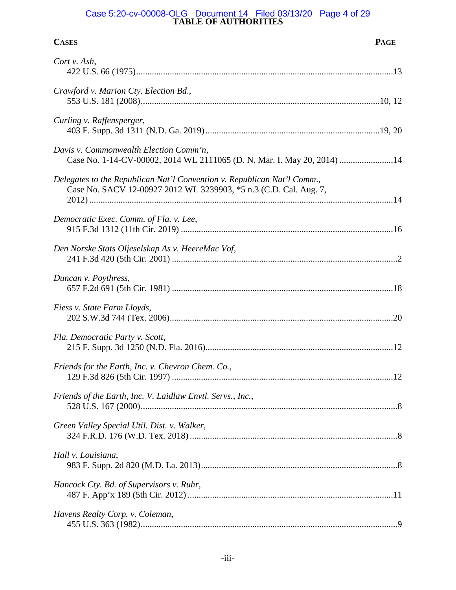#### **TABLE OF AUTHORITIES** Case 5:20-cv-00008-OLG Document 14 Filed 03/13/20 Page 4 of 29

| <b>CASES</b>                                                                                                                                 | <b>PAGE</b> |
|----------------------------------------------------------------------------------------------------------------------------------------------|-------------|
| Cort v. Ash,                                                                                                                                 |             |
| Crawford v. Marion Cty. Election Bd.,                                                                                                        |             |
| Curling v. Raffensperger,                                                                                                                    |             |
| Davis v. Commonwealth Election Comm'n,<br>Case No. 1-14-CV-00002, 2014 WL 2111065 (D. N. Mar. I. May 20, 2014) 14                            |             |
| Delegates to the Republican Nat'l Convention v. Republican Nat'l Comm.,<br>Case No. SACV 12-00927 2012 WL 3239903, *5 n.3 (C.D. Cal. Aug. 7, |             |
| Democratic Exec. Comm. of Fla. v. Lee,                                                                                                       |             |
| Den Norske Stats Oljeselskap As v. HeereMac Vof,                                                                                             |             |
| Duncan v. Poythress,                                                                                                                         |             |
| Fiess v. State Farm Lloyds,                                                                                                                  |             |
| Fla. Democratic Party v. Scott,                                                                                                              |             |
| Friends for the Earth, Inc. v. Chevron Chem. Co.,                                                                                            |             |
| Friends of the Earth, Inc. V. Laidlaw Envtl. Servs., Inc.,                                                                                   |             |
| Green Valley Special Util. Dist. v. Walker,                                                                                                  |             |
| Hall v. Louisiana,                                                                                                                           |             |
| Hancock Cty. Bd. of Supervisors v. Ruhr,                                                                                                     |             |
| Havens Realty Corp. v. Coleman,                                                                                                              |             |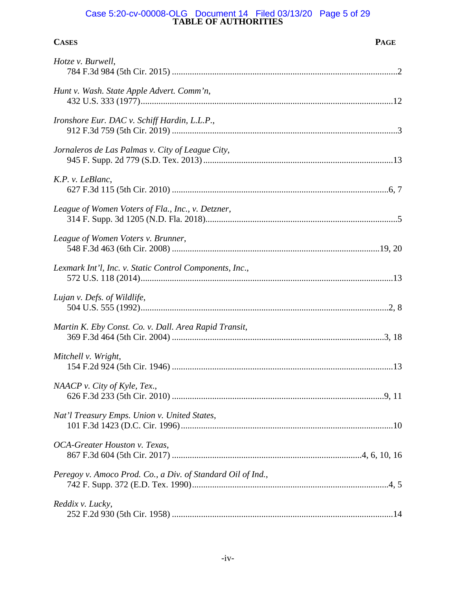#### **TABLE OF AUTHORITIES** Case 5:20-cv-00008-OLG Document 14 Filed 03/13/20 Page 5 of 29

| <b>CASES</b>                                                | <b>PAGE</b> |
|-------------------------------------------------------------|-------------|
| Hotze v. Burwell,                                           |             |
| Hunt v. Wash. State Apple Advert. Comm'n,                   |             |
| Ironshore Eur. DAC v. Schiff Hardin, L.L.P.,                |             |
| Jornaleros de Las Palmas v. City of League City,            |             |
| K.P. v. LeBlanc,                                            |             |
| League of Women Voters of Fla., Inc., v. Detzner,           |             |
| League of Women Voters v. Brunner,                          |             |
| Lexmark Int'l, Inc. v. Static Control Components, Inc.,     |             |
| Lujan v. Defs. of Wildlife,                                 |             |
| Martin K. Eby Const. Co. v. Dall. Area Rapid Transit,       |             |
| Mitchell v. Wright,                                         |             |
| NAACP v. City of Kyle, Tex.,                                |             |
| Nat'l Treasury Emps. Union v. United States,                |             |
| OCA-Greater Houston v. Texas,                               |             |
| Peregoy v. Amoco Prod. Co., a Div. of Standard Oil of Ind., |             |
| Reddix v. Lucky,                                            |             |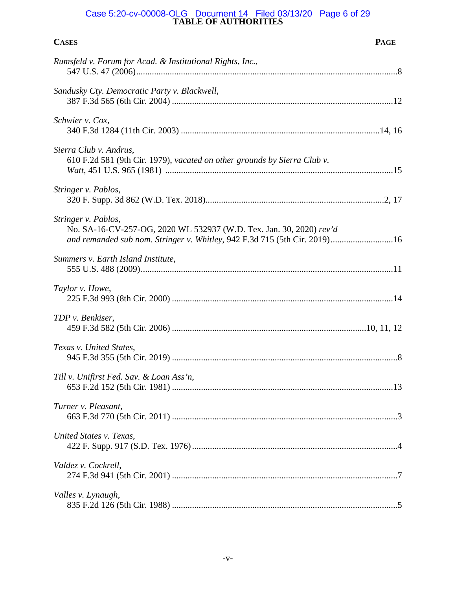#### **TABLE OF AUTHORITIES** Case 5:20-cv-00008-OLG Document 14 Filed 03/13/20 Page 6 of 29

| <b>CASES</b>                                                                                                                                                            | <b>PAGE</b> |
|-------------------------------------------------------------------------------------------------------------------------------------------------------------------------|-------------|
| Rumsfeld v. Forum for Acad. & Institutional Rights, Inc.,                                                                                                               |             |
| Sandusky Cty. Democratic Party v. Blackwell,                                                                                                                            |             |
| Schwier v. Cox,                                                                                                                                                         |             |
| Sierra Club v. Andrus,<br>610 F.2d 581 (9th Cir. 1979), vacated on other grounds by Sierra Club v.                                                                      |             |
| Stringer v. Pablos,                                                                                                                                                     |             |
| Stringer v. Pablos,<br>No. SA-16-CV-257-OG, 2020 WL 532937 (W.D. Tex. Jan. 30, 2020) rev'd<br>and remanded sub nom. Stringer v. Whitley, 942 F.3d 715 (5th Cir. 2019)16 |             |
| Summers v. Earth Island Institute,                                                                                                                                      |             |
| Taylor v. Howe,                                                                                                                                                         |             |
| TDP v. Benkiser,                                                                                                                                                        |             |
| Texas v. United States,                                                                                                                                                 |             |
| Till v. Unifirst Fed. Sav. & Loan Ass'n,                                                                                                                                |             |
| Turner v. Pleasant,                                                                                                                                                     |             |
| United States v. Texas,                                                                                                                                                 |             |
| Valdez v. Cockrell,                                                                                                                                                     |             |
| Valles v. Lynaugh,                                                                                                                                                      |             |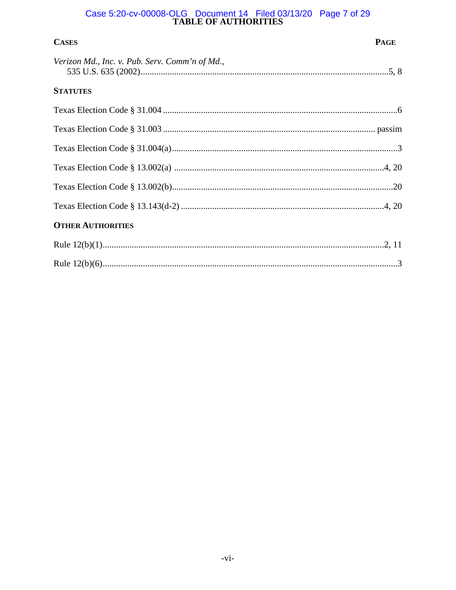# Case 5:20-cv-00008-OLG Document 14 Filed 03/13/20 Page 7 of 29<br>TABLE OF AUTHORITIES

| <b>CASES</b>                                   | <b>PAGE</b> |
|------------------------------------------------|-------------|
| Verizon Md., Inc. v. Pub. Serv. Comm'n of Md., |             |
| <b>STATUTES</b>                                |             |
|                                                |             |
|                                                |             |
|                                                |             |
|                                                |             |
|                                                |             |
|                                                |             |
| <b>OTHER AUTHORITIES</b>                       |             |
|                                                |             |
|                                                |             |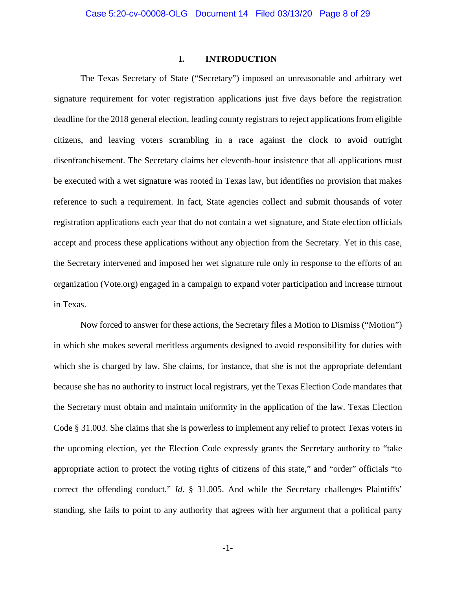#### **I. INTRODUCTION**

<span id="page-7-0"></span>The Texas Secretary of State ("Secretary") imposed an unreasonable and arbitrary wet signature requirement for voter registration applications just five days before the registration deadline for the 2018 general election, leading county registrars to reject applications from eligible citizens, and leaving voters scrambling in a race against the clock to avoid outright disenfranchisement. The Secretary claims her eleventh-hour insistence that all applications must be executed with a wet signature was rooted in Texas law, but identifies no provision that makes reference to such a requirement. In fact, State agencies collect and submit thousands of voter registration applications each year that do not contain a wet signature, and State election officials accept and process these applications without any objection from the Secretary. Yet in this case, the Secretary intervened and imposed her wet signature rule only in response to the efforts of an organization (Vote.org) engaged in a campaign to expand voter participation and increase turnout in Texas.

Now forced to answer for these actions, the Secretary files a Motion to Dismiss ("Motion") in which she makes several meritless arguments designed to avoid responsibility for duties with which she is charged by law. She claims, for instance, that she is not the appropriate defendant because she has no authority to instruct local registrars, yet the Texas Election Code mandates that the Secretary must obtain and maintain uniformity in the application of the law. Texas Election Code § 31.003. She claims that she is powerless to implement any relief to protect Texas voters in the upcoming election, yet the Election Code expressly grants the Secretary authority to "take appropriate action to protect the voting rights of citizens of this state," and "order" officials "to correct the offending conduct." *Id.* § 31.005. And while the Secretary challenges Plaintiffs' standing, she fails to point to any authority that agrees with her argument that a political party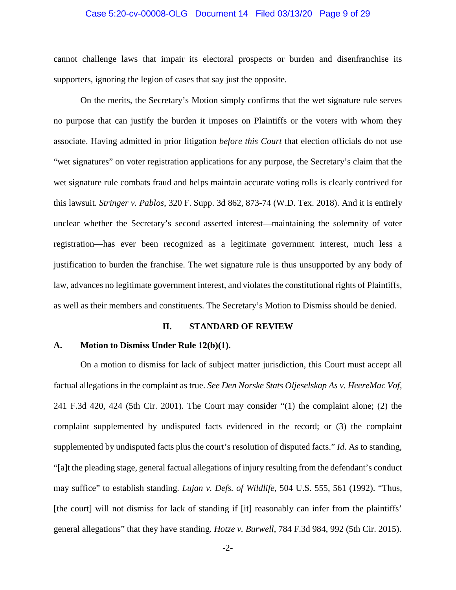#### Case 5:20-cv-00008-OLG Document 14 Filed 03/13/20 Page 9 of 29

cannot challenge laws that impair its electoral prospects or burden and disenfranchise its supporters, ignoring the legion of cases that say just the opposite.

<span id="page-8-5"></span>On the merits, the Secretary's Motion simply confirms that the wet signature rule serves no purpose that can justify the burden it imposes on Plaintiffs or the voters with whom they associate. Having admitted in prior litigation *before this Court* that election officials do not use "wet signatures" on voter registration applications for any purpose, the Secretary's claim that the wet signature rule combats fraud and helps maintain accurate voting rolls is clearly contrived for this lawsuit. *Stringer v. Pablos*, 320 F. Supp. 3d 862, 873-74 (W.D. Tex. 2018). And it is entirely unclear whether the Secretary's second asserted interest—maintaining the solemnity of voter registration—has ever been recognized as a legitimate government interest, much less a justification to burden the franchise. The wet signature rule is thus unsupported by any body of law, advances no legitimate government interest, and violates the constitutional rights of Plaintiffs, as well as their members and constituents. The Secretary's Motion to Dismiss should be denied.

#### <span id="page-8-6"></span><span id="page-8-4"></span><span id="page-8-3"></span><span id="page-8-2"></span>**II. STANDARD OF REVIEW**

#### <span id="page-8-1"></span><span id="page-8-0"></span>**A. Motion to Dismiss Under Rule 12(b)(1).**

On a motion to dismiss for lack of subject matter jurisdiction, this Court must accept all factual allegations in the complaint as true. *See Den Norske Stats Oljeselskap As v. HeereMac Vof*, 241 F.3d 420, 424 (5th Cir. 2001). The Court may consider "(1) the complaint alone; (2) the complaint supplemented by undisputed facts evidenced in the record; or (3) the complaint supplemented by undisputed facts plus the court's resolution of disputed facts." *Id*. As to standing, "[a]t the pleading stage, general factual allegations of injury resulting from the defendant's conduct may suffice" to establish standing. *Lujan v. Defs. of Wildlife*, 504 U.S. 555, 561 (1992). "Thus, [the court] will not dismiss for lack of standing if [it] reasonably can infer from the plaintiffs' general allegations" that they have standing. *Hotze v. Burwell*, 784 F.3d 984, 992 (5th Cir. 2015).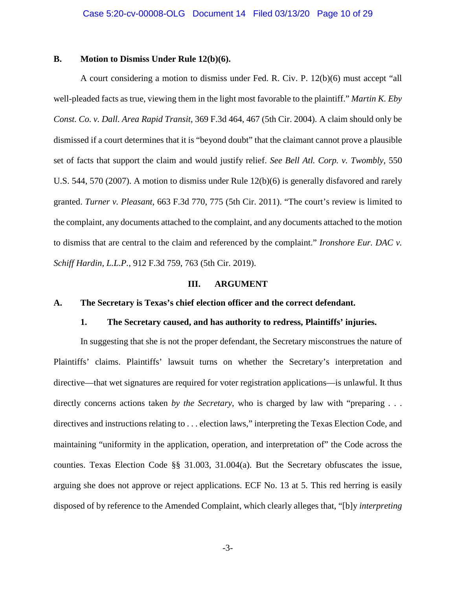## <span id="page-9-8"></span><span id="page-9-0"></span>**B. Motion to Dismiss Under Rule 12(b)(6).**

A court considering a motion to dismiss under Fed. R. Civ. P. 12(b)(6) must accept "all well-pleaded facts as true, viewing them in the light most favorable to the plaintiff." *Martin K. Eby Const. Co. v. Dall. Area Rapid Transit*, 369 F.3d 464, 467 (5th Cir. 2004). A claim should only be dismissed if a court determines that it is "beyond doubt" that the claimant cannot prove a plausible set of facts that support the claim and would justify relief. *See Bell Atl. Corp. v. Twombly*, 550 U.S. 544, 570 (2007). A motion to dismiss under Rule 12(b)(6) is generally disfavored and rarely granted. *Turner v. Pleasant*, 663 F.3d 770, 775 (5th Cir. 2011). "The court's review is limited to the complaint, any documents attached to the complaint, and any documents attached to the motion to dismiss that are central to the claim and referenced by the complaint." *Ironshore Eur. DAC v. Schiff Hardin, L.L.P.*, 912 F.3d 759, 763 (5th Cir. 2019).

#### <span id="page-9-6"></span><span id="page-9-5"></span><span id="page-9-4"></span>**III. ARGUMENT**

#### <span id="page-9-7"></span><span id="page-9-3"></span><span id="page-9-2"></span><span id="page-9-1"></span>**A. The Secretary is Texas's chief election officer and the correct defendant.**

#### **1. The Secretary caused, and has authority to redress, Plaintiffs' injuries.**

In suggesting that she is not the proper defendant, the Secretary misconstrues the nature of Plaintiffs' claims. Plaintiffs' lawsuit turns on whether the Secretary's interpretation and directive—that wet signatures are required for voter registration applications—is unlawful. It thus directly concerns actions taken *by the Secretary*, who is charged by law with "preparing . . . directives and instructions relating to . . . election laws," interpreting the Texas Election Code, and maintaining "uniformity in the application, operation, and interpretation of" the Code across the counties. Texas Election Code §§ 31.003, 31.004(a). But the Secretary obfuscates the issue, arguing she does not approve or reject applications. ECF No. 13 at 5. This red herring is easily disposed of by reference to the Amended Complaint, which clearly alleges that, "[b]y *interpreting*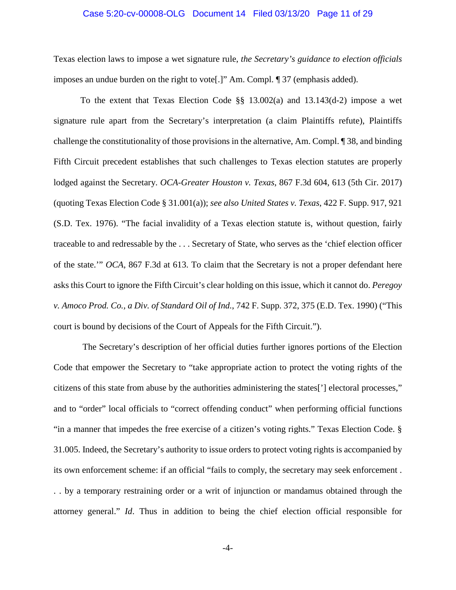#### Case 5:20-cv-00008-OLG Document 14 Filed 03/13/20 Page 11 of 29

Texas election laws to impose a wet signature rule, *the Secretary's guidance to election officials* imposes an undue burden on the right to vote[.]" Am. Compl. ¶ 37 (emphasis added).

<span id="page-10-3"></span><span id="page-10-2"></span><span id="page-10-0"></span>To the extent that Texas Election Code §§ 13.002(a) and 13.143(d-2) impose a wet signature rule apart from the Secretary's interpretation (a claim Plaintiffs refute), Plaintiffs challenge the constitutionality of those provisions in the alternative, Am. Compl. ¶ 38, and binding Fifth Circuit precedent establishes that such challenges to Texas election statutes are properly lodged against the Secretary. *OCA-Greater Houston v. Texas*, 867 F.3d 604, 613 (5th Cir. 2017) (quoting Texas Election Code § 31.001(a)); *see also United States v. Texas*, 422 F. Supp. 917, 921 (S.D. Tex. 1976). "The facial invalidity of a Texas election statute is, without question, fairly traceable to and redressable by the . . . Secretary of State, who serves as the 'chief election officer of the state.'" *OCA*, 867 F.3d at 613. To claim that the Secretary is not a proper defendant here asks this Court to ignore the Fifth Circuit's clear holding on this issue, which it cannot do. *Peregoy v. Amoco Prod. Co., a Div. of Standard Oil of Ind.*, 742 F. Supp. 372, 375 (E.D. Tex. 1990) ("This court is bound by decisions of the Court of Appeals for the Fifth Circuit.").

<span id="page-10-1"></span>The Secretary's description of her official duties further ignores portions of the Election Code that empower the Secretary to "take appropriate action to protect the voting rights of the citizens of this state from abuse by the authorities administering the states['] electoral processes," and to "order" local officials to "correct offending conduct" when performing official functions "in a manner that impedes the free exercise of a citizen's voting rights." Texas Election Code. § 31.005. Indeed, the Secretary's authority to issue orders to protect voting rights is accompanied by its own enforcement scheme: if an official "fails to comply, the secretary may seek enforcement . . . by a temporary restraining order or a writ of injunction or mandamus obtained through the attorney general." *Id*. Thus in addition to being the chief election official responsible for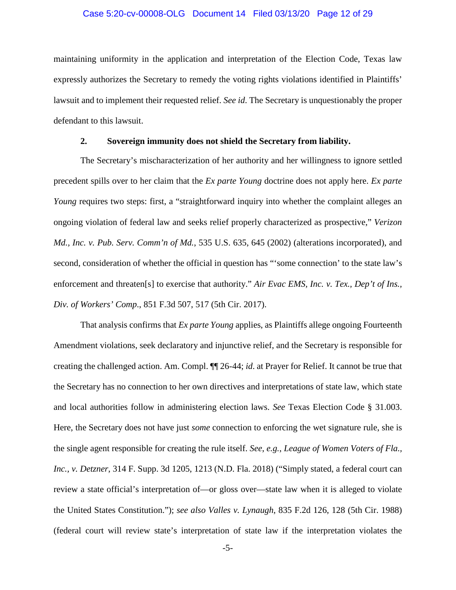#### Case 5:20-cv-00008-OLG Document 14 Filed 03/13/20 Page 12 of 29

maintaining uniformity in the application and interpretation of the Election Code, Texas law expressly authorizes the Secretary to remedy the voting rights violations identified in Plaintiffs' lawsuit and to implement their requested relief. *See id*. The Secretary is unquestionably the proper defendant to this lawsuit.

# <span id="page-11-5"></span><span id="page-11-3"></span>**2. Sovereign immunity does not shield the Secretary from liability.**

<span id="page-11-0"></span>The Secretary's mischaracterization of her authority and her willingness to ignore settled precedent spills over to her claim that the *Ex parte Young* doctrine does not apply here. *Ex parte Young* requires two steps: first, a "straightforward inquiry into whether the complaint alleges an ongoing violation of federal law and seeks relief properly characterized as prospective," *Verizon Md., Inc. v. Pub. Serv. Comm'n of Md.*, 535 U.S. 635, 645 (2002) (alterations incorporated), and second, consideration of whether the official in question has "'some connection' to the state law's enforcement and threaten[s] to exercise that authority." *Air Evac EMS, Inc. v. Tex., Dep't of Ins., Div. of Workers' Comp*., 851 F.3d 507, 517 (5th Cir. 2017).

<span id="page-11-4"></span><span id="page-11-2"></span><span id="page-11-1"></span>That analysis confirms that *Ex parte Young* applies, as Plaintiffs allege ongoing Fourteenth Amendment violations, seek declaratory and injunctive relief, and the Secretary is responsible for creating the challenged action. Am. Compl. ¶¶ 26-44; *id*. at Prayer for Relief. It cannot be true that the Secretary has no connection to her own directives and interpretations of state law, which state and local authorities follow in administering election laws. *See* Texas Election Code § 31.003. Here, the Secretary does not have just *some* connection to enforcing the wet signature rule, she is the single agent responsible for creating the rule itself. *See*, *e.g.*, *League of Women Voters of Fla., Inc., v. Detzner*, 314 F. Supp. 3d 1205, 1213 (N.D. Fla. 2018) ("Simply stated, a federal court can review a state official's interpretation of—or gloss over—state law when it is alleged to violate the United States Constitution."); *see also Valles v. Lynaugh*, 835 F.2d 126, 128 (5th Cir. 1988) (federal court will review state's interpretation of state law if the interpretation violates the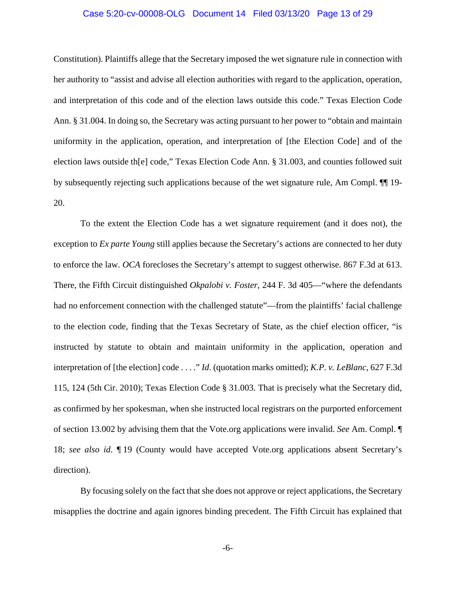#### Case 5:20-cv-00008-OLG Document 14 Filed 03/13/20 Page 13 of 29

Constitution). Plaintiffs allege that the Secretary imposed the wet signature rule in connection with her authority to "assist and advise all election authorities with regard to the application, operation, and interpretation of this code and of the election laws outside this code." Texas Election Code Ann. § 31.004. In doing so, the Secretary was acting pursuant to her power to "obtain and maintain uniformity in the application, operation, and interpretation of [the Election Code] and of the election laws outside th[e] code," Texas Election Code Ann. § 31.003, and counties followed suit by subsequently rejecting such applications because of the wet signature rule, Am Compl. ¶¶ 19- 20.

<span id="page-12-1"></span>To the extent the Election Code has a wet signature requirement (and it does not), the exception to *Ex parte Young* still applies because the Secretary's actions are connected to her duty to enforce the law. *OCA* forecloses the Secretary's attempt to suggest otherwise. 867 F.3d at 613. There, the Fifth Circuit distinguished *Okpalobi v. Foster*, 244 F. 3d 405—"where the defendants had no enforcement connection with the challenged statute"—from the plaintiffs' facial challenge to the election code, finding that the Texas Secretary of State, as the chief election officer, "is instructed by statute to obtain and maintain uniformity in the application, operation and interpretation of [the election] code . . . ." *Id*. (quotation marks omitted); *K.P. v. LeBlanc*, 627 F.3d 115, 124 (5th Cir. 2010); Texas Election Code § 31.003. That is precisely what the Secretary did, as confirmed by her spokesman, when she instructed local registrars on the purported enforcement of section 13.002 by advising them that the Vote.org applications were invalid. *See* Am. Compl. ¶ 18; *see also id*. ¶ 19 (County would have accepted Vote.org applications absent Secretary's direction).

<span id="page-12-0"></span>By focusing solely on the fact that she does not approve or reject applications, the Secretary misapplies the doctrine and again ignores binding precedent. The Fifth Circuit has explained that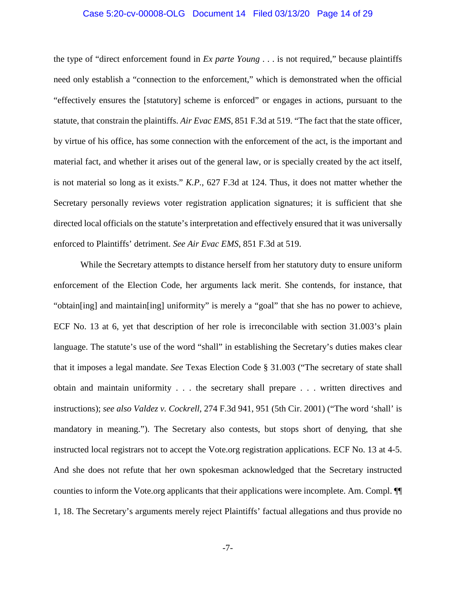#### Case 5:20-cv-00008-OLG Document 14 Filed 03/13/20 Page 14 of 29

<span id="page-13-0"></span>the type of "direct enforcement found in *Ex parte Young* . . . is not required," because plaintiffs need only establish a "connection to the enforcement," which is demonstrated when the official "effectively ensures the [statutory] scheme is enforced" or engages in actions, pursuant to the statute, that constrain the plaintiffs. *Air Evac EMS*, 851 F.3d at 519. "The fact that the state officer, by virtue of his office, has some connection with the enforcement of the act, is the important and material fact, and whether it arises out of the general law, or is specially created by the act itself, is not material so long as it exists." *K.P.*, 627 F.3d at 124. Thus, it does not matter whether the Secretary personally reviews voter registration application signatures; it is sufficient that she directed local officials on the statute's interpretation and effectively ensured that it was universally enforced to Plaintiffs' detriment. *See Air Evac EMS*, 851 F.3d at 519.

<span id="page-13-2"></span><span id="page-13-1"></span>While the Secretary attempts to distance herself from her statutory duty to ensure uniform enforcement of the Election Code, her arguments lack merit. She contends, for instance, that "obtain[ing] and maintain[ing] uniformity" is merely a "goal" that she has no power to achieve, ECF No. 13 at 6, yet that description of her role is irreconcilable with section 31.003's plain language. The statute's use of the word "shall" in establishing the Secretary's duties makes clear that it imposes a legal mandate. *See* Texas Election Code § 31.003 ("The secretary of state shall obtain and maintain uniformity . . . the secretary shall prepare . . . written directives and instructions); *see also Valdez v. Cockrell*, 274 F.3d 941, 951 (5th Cir. 2001) ("The word 'shall' is mandatory in meaning."). The Secretary also contests, but stops short of denying, that she instructed local registrars not to accept the Vote.org registration applications. ECF No. 13 at 4-5. And she does not refute that her own spokesman acknowledged that the Secretary instructed counties to inform the Vote.org applicants that their applications were incomplete. Am. Compl. ¶¶ 1, 18. The Secretary's arguments merely reject Plaintiffs' factual allegations and thus provide no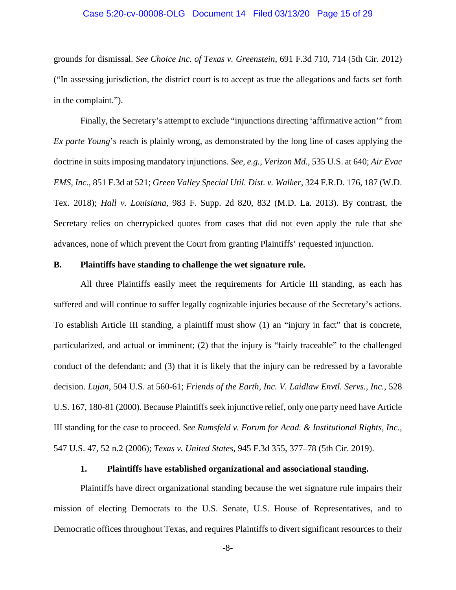#### <span id="page-14-3"></span>Case 5:20-cv-00008-OLG Document 14 Filed 03/13/20 Page 15 of 29

grounds for dismissal. *See Choice Inc. of Texas v. Greenstein*, 691 F.3d 710, 714 (5th Cir. 2012) ("In assessing jurisdiction, the district court is to accept as true the allegations and facts set forth in the complaint.").

<span id="page-14-10"></span><span id="page-14-5"></span><span id="page-14-2"></span>Finally, the Secretary's attempt to exclude "injunctions directing 'affirmative action'" from *Ex parte Young*'s reach is plainly wrong, as demonstrated by the long line of cases applying the doctrine in suits imposing mandatory injunctions. *See, e.g.*, *Verizon Md.*, 535 U.S. at 640; *Air Evac EMS, Inc*., 851 F.3d at 521; *Green Valley Special Util. Dist. v. Walker*, 324 F.R.D. 176, 187 (W.D. Tex. 2018); *Hall v. Louisiana*, 983 F. Supp. 2d 820, 832 (M.D. La. 2013). By contrast, the Secretary relies on cherrypicked quotes from cases that did not even apply the rule that she advances, none of which prevent the Court from granting Plaintiffs' requested injunction.

#### <span id="page-14-6"></span><span id="page-14-0"></span>**B. Plaintiffs have standing to challenge the wet signature rule.**

All three Plaintiffs easily meet the requirements for Article III standing, as each has suffered and will continue to suffer legally cognizable injuries because of the Secretary's actions. To establish Article III standing, a plaintiff must show (1) an "injury in fact" that is concrete, particularized, and actual or imminent; (2) that the injury is "fairly traceable" to the challenged conduct of the defendant; and (3) that it is likely that the injury can be redressed by a favorable decision. *Lujan*, 504 U.S. at 560-61; *Friends of the Earth, Inc. V. Laidlaw Envtl. Servs., Inc.*, 528 U.S. 167, 180-81 (2000). Because Plaintiffs seek injunctive relief, only one party need have Article III standing for the case to proceed. *See Rumsfeld v. Forum for Acad. & Institutional Rights, Inc.*, 547 U.S. 47, 52 n.2 (2006); *Texas v. United States*, 945 F.3d 355, 377–78 (5th Cir. 2019).

#### <span id="page-14-9"></span><span id="page-14-8"></span><span id="page-14-7"></span><span id="page-14-4"></span>**1. Plaintiffs have established organizational and associational standing.**

<span id="page-14-1"></span>Plaintiffs have direct organizational standing because the wet signature rule impairs their mission of electing Democrats to the U.S. Senate, U.S. House of Representatives, and to Democratic offices throughout Texas, and requires Plaintiffs to divert significant resources to their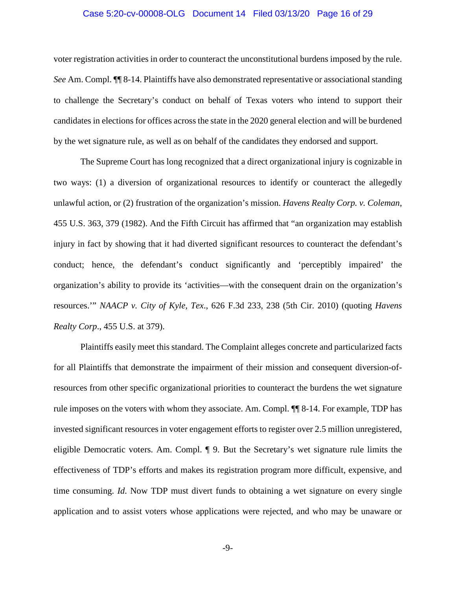#### Case 5:20-cv-00008-OLG Document 14 Filed 03/13/20 Page 16 of 29

voter registration activities in order to counteract the unconstitutional burdens imposed by the rule. *See* Am. Compl. ¶¶ 8-14. Plaintiffs have also demonstrated representative or associational standing to challenge the Secretary's conduct on behalf of Texas voters who intend to support their candidates in elections for offices across the state in the 2020 general election and will be burdened by the wet signature rule, as well as on behalf of the candidates they endorsed and support.

<span id="page-15-0"></span>The Supreme Court has long recognized that a direct organizational injury is cognizable in two ways: (1) a diversion of organizational resources to identify or counteract the allegedly unlawful action, or (2) frustration of the organization's mission. *Havens Realty Corp. v. Coleman*, 455 U.S. 363, 379 (1982). And the Fifth Circuit has affirmed that "an organization may establish injury in fact by showing that it had diverted significant resources to counteract the defendant's conduct; hence, the defendant's conduct significantly and 'perceptibly impaired' the organization's ability to provide its 'activities—with the consequent drain on the organization's resources.'" *NAACP v. City of Kyle, Tex*., 626 F.3d 233, 238 (5th Cir. 2010) (quoting *Havens Realty Corp*., 455 U.S. at 379).

<span id="page-15-1"></span>Plaintiffs easily meet this standard. The Complaint alleges concrete and particularized facts for all Plaintiffs that demonstrate the impairment of their mission and consequent diversion-ofresources from other specific organizational priorities to counteract the burdens the wet signature rule imposes on the voters with whom they associate. Am. Compl. ¶¶ 8-14. For example, TDP has invested significant resources in voter engagement efforts to register over 2.5 million unregistered, eligible Democratic voters. Am. Compl. ¶ 9. But the Secretary's wet signature rule limits the effectiveness of TDP's efforts and makes its registration program more difficult, expensive, and time consuming. *Id*. Now TDP must divert funds to obtaining a wet signature on every single application and to assist voters whose applications were rejected, and who may be unaware or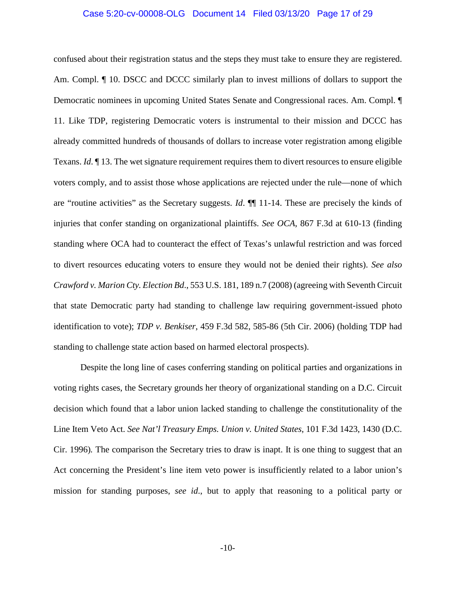#### Case 5:20-cv-00008-OLG Document 14 Filed 03/13/20 Page 17 of 29

confused about their registration status and the steps they must take to ensure they are registered. Am. Compl.  $\llbracket$  10. DSCC and DCCC similarly plan to invest millions of dollars to support the Democratic nominees in upcoming United States Senate and Congressional races. Am. Compl. ¶ 11. Like TDP, registering Democratic voters is instrumental to their mission and DCCC has already committed hundreds of thousands of dollars to increase voter registration among eligible Texans. *Id*. ¶ 13. The wet signature requirement requires them to divert resources to ensure eligible voters comply, and to assist those whose applications are rejected under the rule—none of which are "routine activities" as the Secretary suggests. *Id*. ¶¶ 11-14. These are precisely the kinds of injuries that confer standing on organizational plaintiffs. *See OCA*, 867 F.3d at 610-13 (finding standing where OCA had to counteract the effect of Texas's unlawful restriction and was forced to divert resources educating voters to ensure they would not be denied their rights). *See also Crawford v. Marion Cty. Election Bd*., 553 U.S. 181, 189 n.7 (2008) (agreeing with Seventh Circuit that state Democratic party had standing to challenge law requiring government-issued photo identification to vote); *TDP v. Benkiser*, 459 F.3d 582, 585-86 (5th Cir. 2006) (holding TDP had standing to challenge state action based on harmed electoral prospects).

<span id="page-16-3"></span><span id="page-16-2"></span><span id="page-16-1"></span><span id="page-16-0"></span>Despite the long line of cases conferring standing on political parties and organizations in voting rights cases, the Secretary grounds her theory of organizational standing on a D.C. Circuit decision which found that a labor union lacked standing to challenge the constitutionality of the Line Item Veto Act. *See Nat'l Treasury Emps. Union v. United States*, 101 F.3d 1423, 1430 (D.C. Cir. 1996)*.* The comparison the Secretary tries to draw is inapt. It is one thing to suggest that an Act concerning the President's line item veto power is insufficiently related to a labor union's mission for standing purposes, *see id*., but to apply that reasoning to a political party or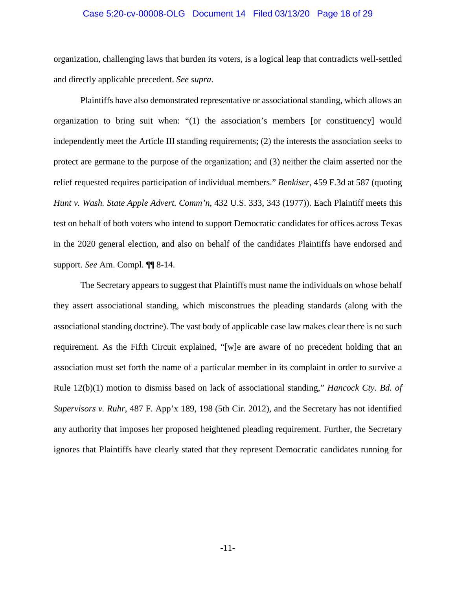#### Case 5:20-cv-00008-OLG Document 14 Filed 03/13/20 Page 18 of 29

organization, challenging laws that burden its voters, is a logical leap that contradicts well-settled and directly applicable precedent. *See supra*.

<span id="page-17-1"></span>Plaintiffs have also demonstrated representative or associational standing, which allows an organization to bring suit when: "(1) the association's members [or constituency] would independently meet the Article III standing requirements; (2) the interests the association seeks to protect are germane to the purpose of the organization; and (3) neither the claim asserted nor the relief requested requires participation of individual members." *Benkiser*, 459 F.3d at 587 (quoting *Hunt v. Wash. State Apple Advert. Comm'n*, 432 U.S. 333, 343 (1977)). Each Plaintiff meets this test on behalf of both voters who intend to support Democratic candidates for offices across Texas in the 2020 general election, and also on behalf of the candidates Plaintiffs have endorsed and support. *See* Am. Compl. ¶¶ 8-14.

<span id="page-17-2"></span><span id="page-17-0"></span>The Secretary appears to suggest that Plaintiffs must name the individuals on whose behalf they assert associational standing, which misconstrues the pleading standards (along with the associational standing doctrine). The vast body of applicable case law makes clear there is no such requirement. As the Fifth Circuit explained, "[w]e are aware of no precedent holding that an association must set forth the name of a particular member in its complaint in order to survive a Rule 12(b)(1) motion to dismiss based on lack of associational standing," *Hancock Cty. Bd. of Supervisors v. Ruhr*, 487 F. App'x 189, 198 (5th Cir. 2012), and the Secretary has not identified any authority that imposes her proposed heightened pleading requirement. Further, the Secretary ignores that Plaintiffs have clearly stated that they represent Democratic candidates running for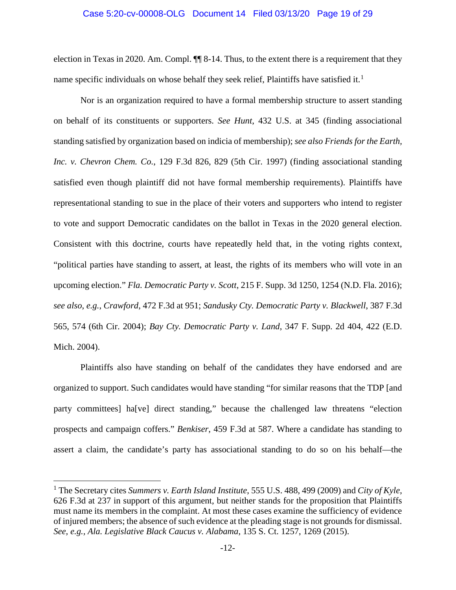#### <span id="page-18-4"></span>Case 5:20-cv-00008-OLG Document 14 Filed 03/13/20 Page 19 of 29

election in Texas in 2020. Am. Compl. ¶¶ 8-14. Thus, to the extent there is a requirement that they name specific individuals on whose behalf they seek relief, Plaintiffs have satisfied it.<sup>[1](#page-18-10)</sup>

<span id="page-18-5"></span>Nor is an organization required to have a formal membership structure to assert standing on behalf of its constituents or supporters. *See Hunt*, 432 U.S. at 345 (finding associational standing satisfied by organization based on indicia of membership); *see also Friends for the Earth, Inc. v. Chevron Chem. Co.*, 129 F.3d 826, 829 (5th Cir. 1997) (finding associational standing satisfied even though plaintiff did not have formal membership requirements). Plaintiffs have representational standing to sue in the place of their voters and supporters who intend to register to vote and support Democratic candidates on the ballot in Texas in the 2020 general election. Consistent with this doctrine, courts have repeatedly held that, in the voting rights context, "political parties have standing to assert, at least, the rights of its members who will vote in an upcoming election." *Fla. Democratic Party v. Scott*, 215 F. Supp. 3d 1250, 1254 (N.D. Fla. 2016); *see also*, *e.g.*, *Crawford*, 472 F.3d at 951; *Sandusky Cty. Democratic Party v. Blackwell*, 387 F.3d 565, 574 (6th Cir. 2004); *Bay Cty. Democratic Party v. Land*, 347 F. Supp. 2d 404, 422 (E.D. Mich. 2004).

<span id="page-18-9"></span><span id="page-18-7"></span><span id="page-18-3"></span><span id="page-18-2"></span><span id="page-18-1"></span>Plaintiffs also have standing on behalf of the candidates they have endorsed and are organized to support. Such candidates would have standing "for similar reasons that the TDP [and party committees] ha[ve] direct standing," because the challenged law threatens "election prospects and campaign coffers." *Benkiser*, 459 F.3d at 587. Where a candidate has standing to assert a claim, the candidate's party has associational standing to do so on his behalf—the

<span id="page-18-10"></span><span id="page-18-8"></span><span id="page-18-6"></span><span id="page-18-0"></span> <sup>1</sup> The Secretary cites *Summers v. Earth Island Institute*, 555 U.S. 488, 499 (2009) and *City of Kyle*, 626 F.3d at 237 in support of this argument, but neither stands for the proposition that Plaintiffs must name its members in the complaint. At most these cases examine the sufficiency of evidence of injured members; the absence of such evidence at the pleading stage is not grounds for dismissal. *See, e.g., Ala. Legislative Black Caucus v. Alabama*, 135 S. Ct. 1257, 1269 (2015).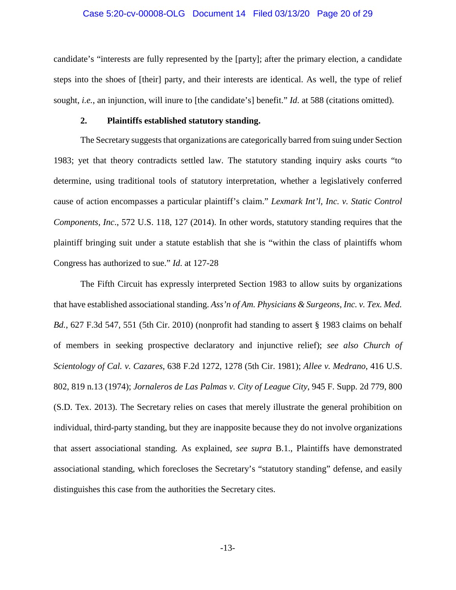#### Case 5:20-cv-00008-OLG Document 14 Filed 03/13/20 Page 20 of 29

candidate's "interests are fully represented by the [party]; after the primary election, a candidate steps into the shoes of [their] party, and their interests are identical. As well, the type of relief sought, *i.e.*, an injunction, will inure to [the candidate's] benefit." *Id.* at 588 (citations omitted).

## <span id="page-19-5"></span>**2. Plaintiffs established statutory standing.**

<span id="page-19-0"></span>The Secretary suggests that organizations are categorically barred from suing under Section 1983; yet that theory contradicts settled law. The statutory standing inquiry asks courts "to determine, using traditional tools of statutory interpretation, whether a legislatively conferred cause of action encompasses a particular plaintiff's claim." *Lexmark Int'l, Inc. v. Static Control Components, Inc*., 572 U.S. 118, 127 (2014). In other words, statutory standing requires that the plaintiff bringing suit under a statute establish that she is "within the class of plaintiffs whom Congress has authorized to sue." *Id*. at 127-28

<span id="page-19-4"></span><span id="page-19-3"></span><span id="page-19-2"></span><span id="page-19-1"></span>The Fifth Circuit has expressly interpreted Section 1983 to allow suits by organizations that have established associational standing. *Ass'n of Am. Physicians & Surgeons, Inc. v. Tex. Med. Bd.*, 627 F.3d 547, 551 (5th Cir. 2010) (nonprofit had standing to assert § 1983 claims on behalf of members in seeking prospective declaratory and injunctive relief); *see also Church of Scientology of Cal. v. Cazares*, 638 F.2d 1272, 1278 (5th Cir. 1981); *Allee v. Medrano*, 416 U.S. 802, 819 n.13 (1974); *Jornaleros de Las Palmas v. City of League City*, 945 F. Supp. 2d 779, 800 (S.D. Tex. 2013). The Secretary relies on cases that merely illustrate the general prohibition on individual, third-party standing, but they are inapposite because they do not involve organizations that assert associational standing. As explained, *see supra* B.1., Plaintiffs have demonstrated associational standing, which forecloses the Secretary's "statutory standing" defense, and easily distinguishes this case from the authorities the Secretary cites.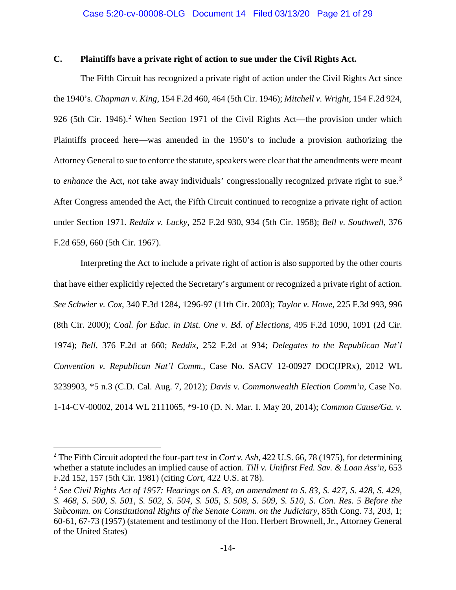# <span id="page-20-0"></span>**C. Plaintiffs have a private right of action to sue under the Civil Rights Act.**

<span id="page-20-8"></span><span id="page-20-2"></span>The Fifth Circuit has recognized a private right of action under the Civil Rights Act since the 1940's. *Chapman v. King*, 154 F.2d 460, 464 (5th Cir. 1946); *Mitchell v. Wright*, 154 F.2d 924, 9[2](#page-20-13)6 (5th Cir. 1946).<sup>2</sup> When Section 1971 of the Civil Rights Act—the provision under which Plaintiffs proceed here—was amended in the 1950's to include a provision authorizing the Attorney General to sue to enforce the statute, speakers were clear that the amendments were meant to *enhance* the Act, *not* take away individuals' congressionally recognized private right to sue.[3](#page-20-14) After Congress amended the Act, the Fifth Circuit continued to recognize a private right of action under Section 1971. *Reddix v. Lucky*, 252 F.2d 930, 934 (5th Cir. 1958); *Bell v. Southwell*, 376 F.2d 659, 660 (5th Cir. 1967).

<span id="page-20-11"></span><span id="page-20-10"></span><span id="page-20-9"></span><span id="page-20-7"></span><span id="page-20-3"></span><span id="page-20-1"></span>Interpreting the Act to include a private right of action is also supported by the other courts that have either explicitly rejected the Secretary's argument or recognized a private right of action. *See Schwier v. Cox*, 340 F.3d 1284, 1296-97 (11th Cir. 2003); *Taylor v. Howe*, 225 F.3d 993, 996 (8th Cir. 2000); *Coal. for Educ. in Dist. One v. Bd. of Elections*, 495 F.2d 1090, 1091 (2d Cir. 1974); *Bell*, 376 F.2d at 660; *Reddix*, 252 F.2d at 934; *Delegates to the Republican Nat'l Convention v. Republican Nat'l Comm*., Case No. SACV 12-00927 DOC(JPRx), 2012 WL 3239903, \*5 n.3 (C.D. Cal. Aug. 7, 2012); *Davis v. Commonwealth Election Comm'n*, Case No. 1-14-CV-00002, 2014 WL 2111065, \*9-10 (D. N. Mar. I. May 20, 2014); *Common Cause/Ga. v.* 

<span id="page-20-13"></span><span id="page-20-12"></span><span id="page-20-6"></span><span id="page-20-5"></span><span id="page-20-4"></span> <sup>2</sup> The Fifth Circuit adopted the four-part test in *Cort v. Ash*, 422 U.S. 66, 78 (1975), for determining whether a statute includes an implied cause of action. *Till v. Unifirst Fed. Sav. & Loan Ass'n*, 653 F.2d 152, 157 (5th Cir. 1981) (citing *Cort*, 422 U.S. at 78).

<span id="page-20-14"></span><sup>3</sup> *See Civil Rights Act of 1957: Hearings on S. 83, an amendment to S. 83, S. 427, S. 428, S. 429, S. 468, S. 500, S. 501, S. 502, S. 504, S. 505, S. 508, S. 509, S. 510, S. Con. Res. 5 Before the Subcomm. on Constitutional Rights of the Senate Comm. on the Judiciary*, 85th Cong. 73, 203, 1; 60-61, 67-73 (1957) (statement and testimony of the Hon. Herbert Brownell, Jr., Attorney General of the United States)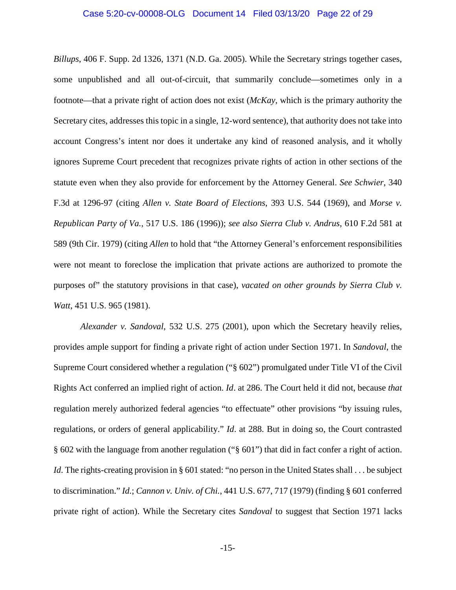#### Case 5:20-cv-00008-OLG Document 14 Filed 03/13/20 Page 22 of 29

*Billups*, 406 F. Supp. 2d 1326, 1371 (N.D. Ga. 2005). While the Secretary strings together cases, some unpublished and all out-of-circuit, that summarily conclude—sometimes only in a footnote—that a private right of action does not exist (*McKay*, which is the primary authority the Secretary cites, addresses this topic in a single, 12-word sentence), that authority does not take into account Congress's intent nor does it undertake any kind of reasoned analysis, and it wholly ignores Supreme Court precedent that recognizes private rights of action in other sections of the statute even when they also provide for enforcement by the Attorney General. *See Schwier*, 340 F.3d at 1296-97 (citing *Allen v. State Board of Elections*, 393 U.S. 544 (1969), and *Morse v. Republican Party of Va.*, 517 U.S. 186 (1996)); *see also Sierra Club v. Andrus*, 610 F.2d 581 at 589 (9th Cir. 1979) (citing *Allen* to hold that "the Attorney General's enforcement responsibilities were not meant to foreclose the implication that private actions are authorized to promote the purposes of" the statutory provisions in that case), *vacated on other grounds by Sierra Club v. Watt*, 451 U.S. 965 (1981).

<span id="page-21-2"></span><span id="page-21-1"></span><span id="page-21-0"></span>*Alexander v. Sandoval*, 532 U.S. 275 (2001), upon which the Secretary heavily relies, provides ample support for finding a private right of action under Section 1971. In *Sandoval*, the Supreme Court considered whether a regulation ("§ 602") promulgated under Title VI of the Civil Rights Act conferred an implied right of action. *Id*. at 286. The Court held it did not, because *that* regulation merely authorized federal agencies "to effectuate" other provisions "by issuing rules, regulations, or orders of general applicability." *Id*. at 288. But in doing so, the Court contrasted § 602 with the language from another regulation ("§ 601") that did in fact confer a right of action. *Id*. The rights-creating provision in § 601 stated: "no person in the United States shall . . . be subject to discrimination." *Id.*; *Cannon v. Univ. of Chi.*, 441 U.S. 677, 717 (1979) (finding § 601 conferred private right of action). While the Secretary cites *Sandoval* to suggest that Section 1971 lacks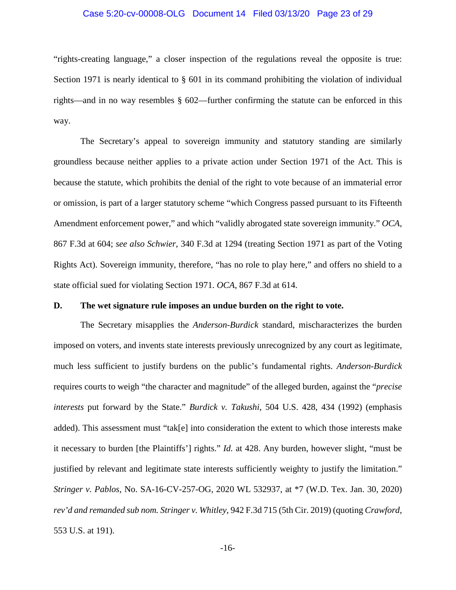#### Case 5:20-cv-00008-OLG Document 14 Filed 03/13/20 Page 23 of 29

"rights-creating language," a closer inspection of the regulations reveal the opposite is true: Section 1971 is nearly identical to § 601 in its command prohibiting the violation of individual rights—and in no way resembles § 602—further confirming the statute can be enforced in this way.

The Secretary's appeal to sovereign immunity and statutory standing are similarly groundless because neither applies to a private action under Section 1971 of the Act. This is because the statute, which prohibits the denial of the right to vote because of an immaterial error or omission, is part of a larger statutory scheme "which Congress passed pursuant to its Fifteenth Amendment enforcement power," and which "validly abrogated state sovereign immunity." *OCA*, 867 F.3d at 604; *see also Schwier*, 340 F.3d at 1294 (treating Section 1971 as part of the Voting Rights Act). Sovereign immunity, therefore, "has no role to play here," and offers no shield to a state official sued for violating Section 1971. *OCA*, 867 F.3d at 614.

#### <span id="page-22-3"></span><span id="page-22-2"></span><span id="page-22-0"></span>**D. The wet signature rule imposes an undue burden on the right to vote.**

<span id="page-22-4"></span>The Secretary misapplies the *Anderson-Burdick* standard, mischaracterizes the burden imposed on voters, and invents state interests previously unrecognized by any court as legitimate, much less sufficient to justify burdens on the public's fundamental rights. *Anderson-Burdick* requires courts to weigh "the character and magnitude" of the alleged burden, against the "*precise interests* put forward by the State." *Burdick v. Takushi*, 504 U.S. 428, 434 (1992) (emphasis added). This assessment must "tak[e] into consideration the extent to which those interests make it necessary to burden [the Plaintiffs'] rights." *Id.* at 428. Any burden, however slight, "must be justified by relevant and legitimate state interests sufficiently weighty to justify the limitation." *Stringer v. Pablos*, No. SA-16-CV-257-OG, 2020 WL 532937, at \*7 (W.D. Tex. Jan. 30, 2020) *rev'd and remanded sub nom. Stringer v. Whitley*, 942 F.3d 715 (5th Cir. 2019) (quoting *Crawford*, 553 U.S. at 191).

<span id="page-22-1"></span>-16-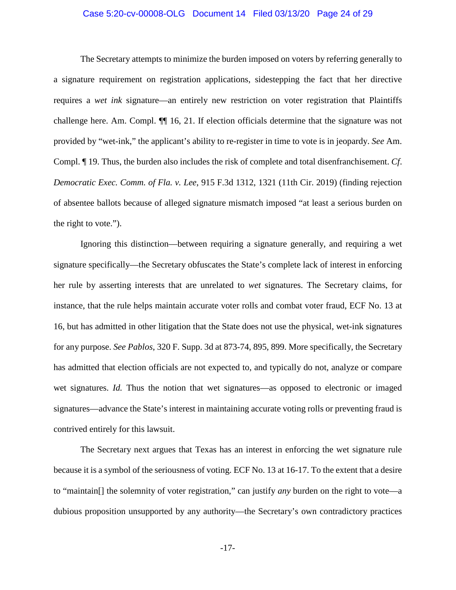#### Case 5:20-cv-00008-OLG Document 14 Filed 03/13/20 Page 24 of 29

The Secretary attempts to minimize the burden imposed on voters by referring generally to a signature requirement on registration applications, sidestepping the fact that her directive requires a *wet ink* signature—an entirely new restriction on voter registration that Plaintiffs challenge here. Am. Compl. ¶¶ 16, 21. If election officials determine that the signature was not provided by "wet-ink," the applicant's ability to re-register in time to vote is in jeopardy. *See* Am. Compl. ¶ 19. Thus, the burden also includes the risk of complete and total disenfranchisement. *Cf*. *Democratic Exec. Comm. of Fla. v. Lee*, 915 F.3d 1312, 1321 (11th Cir. 2019) (finding rejection of absentee ballots because of alleged signature mismatch imposed "at least a serious burden on the right to vote.").

<span id="page-23-1"></span><span id="page-23-0"></span>Ignoring this distinction—between requiring a signature generally, and requiring a wet signature specifically—the Secretary obfuscates the State's complete lack of interest in enforcing her rule by asserting interests that are unrelated to *wet* signatures. The Secretary claims, for instance, that the rule helps maintain accurate voter rolls and combat voter fraud, ECF No. 13 at 16, but has admitted in other litigation that the State does not use the physical, wet-ink signatures for any purpose. *See Pablos*, 320 F. Supp. 3d at 873-74, 895, 899. More specifically, the Secretary has admitted that election officials are not expected to, and typically do not, analyze or compare wet signatures. *Id.* Thus the notion that wet signatures—as opposed to electronic or imaged signatures—advance the State's interest in maintaining accurate voting rolls or preventing fraud is contrived entirely for this lawsuit.

The Secretary next argues that Texas has an interest in enforcing the wet signature rule because it is a symbol of the seriousness of voting. ECF No. 13 at 16-17. To the extent that a desire to "maintain[] the solemnity of voter registration," can justify *any* burden on the right to vote—a dubious proposition unsupported by any authority—the Secretary's own contradictory practices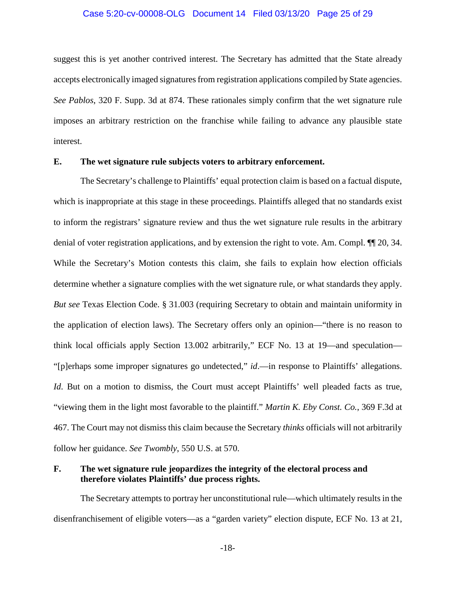#### Case 5:20-cv-00008-OLG Document 14 Filed 03/13/20 Page 25 of 29

suggest this is yet another contrived interest. The Secretary has admitted that the State already accepts electronically imaged signatures from registration applications compiled by State agencies. *See Pablos*, 320 F. Supp. 3d at 874. These rationales simply confirm that the wet signature rule imposes an arbitrary restriction on the franchise while failing to advance any plausible state interest.

## <span id="page-24-0"></span>**E. The wet signature rule subjects voters to arbitrary enforcement.**

The Secretary's challenge to Plaintiffs' equal protection claim is based on a factual dispute, which is inappropriate at this stage in these proceedings. Plaintiffs alleged that no standards exist to inform the registrars' signature review and thus the wet signature rule results in the arbitrary denial of voter registration applications, and by extension the right to vote. Am. Compl. ¶¶ 20, 34. While the Secretary's Motion contests this claim, she fails to explain how election officials determine whether a signature complies with the wet signature rule, or what standards they apply. *But see* Texas Election Code. § 31.003 (requiring Secretary to obtain and maintain uniformity in the application of election laws). The Secretary offers only an opinion—"there is no reason to think local officials apply Section 13.002 arbitrarily," ECF No. 13 at 19—and speculation— "[p]erhaps some improper signatures go undetected," *id*.—in response to Plaintiffs' allegations. *Id*. But on a motion to dismiss, the Court must accept Plaintiffs' well pleaded facts as true, "viewing them in the light most favorable to the plaintiff." *Martin K. Eby Const. Co.*, 369 F.3d at 467. The Court may not dismiss this claim because the Secretary *thinks* officials will not arbitrarily follow her guidance. *See Twombly*, 550 U.S. at 570.

# <span id="page-24-2"></span><span id="page-24-1"></span>**F. The wet signature rule jeopardizes the integrity of the electoral process and therefore violates Plaintiffs' due process rights.**

The Secretary attempts to portray her unconstitutional rule—which ultimately results in the disenfranchisement of eligible voters—as a "garden variety" election dispute, ECF No. 13 at 21,

<span id="page-24-3"></span>-18-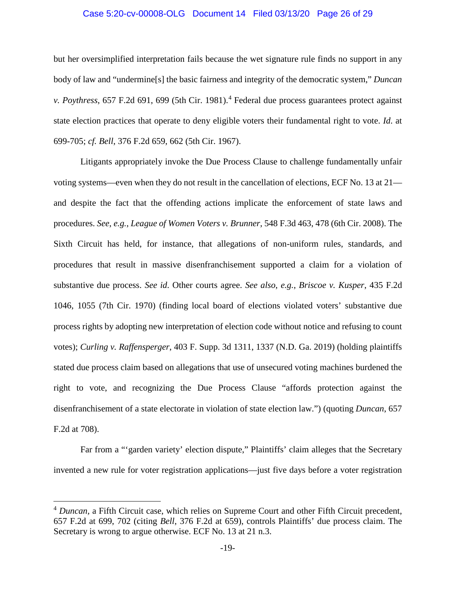#### <span id="page-25-3"></span>Case 5:20-cv-00008-OLG Document 14 Filed 03/13/20 Page 26 of 29

but her oversimplified interpretation fails because the wet signature rule finds no support in any body of law and "undermine[s] the basic fairness and integrity of the democratic system," *Duncan v. Poythress*, 657 F.2d 691, 699 (5th Cir. 1981).<sup>[4](#page-25-5)</sup> Federal due process guarantees protect against state election practices that operate to deny eligible voters their fundamental right to vote. *Id*. at 699-705; *cf. Bell*, 376 F.2d 659, 662 (5th Cir. 1967).

<span id="page-25-4"></span><span id="page-25-1"></span><span id="page-25-0"></span>Litigants appropriately invoke the Due Process Clause to challenge fundamentally unfair voting systems—even when they do not result in the cancellation of elections, ECF No. 13 at 21 and despite the fact that the offending actions implicate the enforcement of state laws and procedures. *See*, *e.g.*, *League of Women Voters v. Brunner*, 548 F.3d 463, 478 (6th Cir. 2008). The Sixth Circuit has held, for instance, that allegations of non-uniform rules, standards, and procedures that result in massive disenfranchisement supported a claim for a violation of substantive due process. *See id*. Other courts agree. *See also*, *e.g.*, *Briscoe v. Kusper*, 435 F.2d 1046, 1055 (7th Cir. 1970) (finding local board of elections violated voters' substantive due process rights by adopting new interpretation of election code without notice and refusing to count votes); *Curling v. Raffensperger*, 403 F. Supp. 3d 1311, 1337 (N.D. Ga. 2019) (holding plaintiffs stated due process claim based on allegations that use of unsecured voting machines burdened the right to vote, and recognizing the Due Process Clause "affords protection against the disenfranchisement of a state electorate in violation of state election law.") (quoting *Duncan*, 657 F.2d at 708).

<span id="page-25-2"></span>Far from a "'garden variety' election dispute," Plaintiffs' claim alleges that the Secretary invented a new rule for voter registration applications—just five days before a voter registration

<span id="page-25-5"></span><sup>&</sup>lt;sup>4</sup> *Duncan*, a Fifth Circuit case, which relies on Supreme Court and other Fifth Circuit precedent, 657 F.2d at 699, 702 (citing *Bell*, 376 F.2d at 659), controls Plaintiffs' due process claim. The Secretary is wrong to argue otherwise. ECF No. 13 at 21 n.3.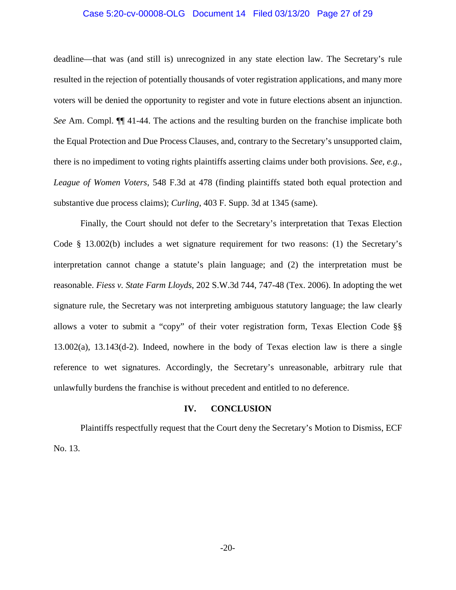#### Case 5:20-cv-00008-OLG Document 14 Filed 03/13/20 Page 27 of 29

deadline—that was (and still is) unrecognized in any state election law. The Secretary's rule resulted in the rejection of potentially thousands of voter registration applications, and many more voters will be denied the opportunity to register and vote in future elections absent an injunction. *See* Am. Compl. ¶¶ 41-44. The actions and the resulting burden on the franchise implicate both the Equal Protection and Due Process Clauses, and, contrary to the Secretary's unsupported claim, there is no impediment to voting rights plaintiffs asserting claims under both provisions. *See*, *e.g.*, *League of Women Voters*, 548 F.3d at 478 (finding plaintiffs stated both equal protection and substantive due process claims); *Curling*, 403 F. Supp. 3d at 1345 (same).

<span id="page-26-3"></span><span id="page-26-2"></span><span id="page-26-1"></span>Finally, the Court should not defer to the Secretary's interpretation that Texas Election Code § 13.002(b) includes a wet signature requirement for two reasons: (1) the Secretary's interpretation cannot change a statute's plain language; and (2) the interpretation must be reasonable. *Fiess v. State Farm Lloyds*, 202 S.W.3d 744, 747-48 (Tex. 2006). In adopting the wet signature rule, the Secretary was not interpreting ambiguous statutory language; the law clearly allows a voter to submit a "copy" of their voter registration form, Texas Election Code §§ 13.002(a), 13.143(d-2). Indeed, nowhere in the body of Texas election law is there a single reference to wet signatures. Accordingly, the Secretary's unreasonable, arbitrary rule that unlawfully burdens the franchise is without precedent and entitled to no deference.

#### <span id="page-26-4"></span>**IV. CONCLUSION**

<span id="page-26-0"></span>Plaintiffs respectfully request that the Court deny the Secretary's Motion to Dismiss, ECF No. 13.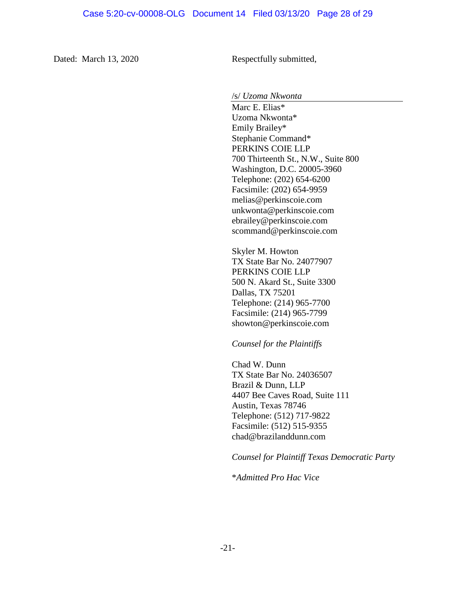Dated: March 13, 2020 Respectfully submitted,

/s/ *Uzoma Nkwonta*

Marc E. Elias\* Uzoma Nkwonta\* Emily Brailey\* Stephanie Command\* PERKINS COIE LLP 700 Thirteenth St., N.W., Suite 800 Washington, D.C. 20005-3960 Telephone: (202) 654-6200 Facsimile: (202) 654-9959 melias@perkinscoie.com unkwonta@perkinscoie.com ebrailey@perkinscoie.com scommand@perkinscoie.com

Skyler M. Howton TX State Bar No. 24077907 PERKINS COIE LLP 500 N. Akard St., Suite 3300 Dallas, TX 75201 Telephone: (214) 965-7700 Facsimile: (214) 965-7799 showton@perkinscoie.com

*Counsel for the Plaintiffs*

Chad W. Dunn TX State Bar No. 24036507 Brazil & Dunn, LLP 4407 Bee Caves Road, Suite 111 Austin, Texas 78746 Telephone: (512) 717-9822 Facsimile: (512) 515-9355 chad@brazilanddunn.com

*Counsel for Plaintiff Texas Democratic Party*

\**Admitted Pro Hac Vice*